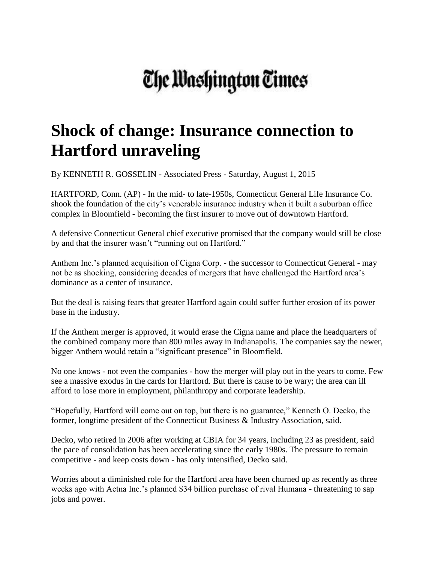## The Washington Times

## **Shock of change: Insurance connection to Hartford unraveling**

By KENNETH R. GOSSELIN - Associated Press - Saturday, August 1, 2015

HARTFORD, Conn. (AP) - In the mid- to late-1950s, Connecticut General Life Insurance Co. shook the foundation of the city's venerable insurance industry when it built a suburban office complex in Bloomfield - becoming the first insurer to move out of downtown Hartford.

A defensive Connecticut General chief executive promised that the company would still be close by and that the insurer wasn't "running out on Hartford."

Anthem Inc.'s planned acquisition of Cigna Corp. - the successor to Connecticut General - may not be as shocking, considering decades of mergers that have challenged the Hartford area's dominance as a center of insurance.

But the deal is raising fears that greater Hartford again could suffer further erosion of its power base in the industry.

If the Anthem merger is approved, it would erase the Cigna name and place the headquarters of the combined company more than 800 miles away in Indianapolis. The companies say the newer, bigger Anthem would retain a "significant presence" in Bloomfield.

No one knows - not even the companies - how the merger will play out in the years to come. Few see a massive exodus in the cards for Hartford. But there is cause to be wary; the area can ill afford to lose more in employment, philanthropy and corporate leadership.

"Hopefully, Hartford will come out on top, but there is no guarantee," Kenneth O. Decko, the former, longtime president of the Connecticut Business & Industry Association, said.

Decko, who retired in 2006 after working at CBIA for 34 years, including 23 as president, said the pace of consolidation has been accelerating since the early 1980s. The pressure to remain competitive - and keep costs down - has only intensified, Decko said.

Worries about a diminished role for the Hartford area have been churned up as recently as three weeks ago with Aetna Inc.'s planned \$34 billion purchase of rival Humana - threatening to sap jobs and power.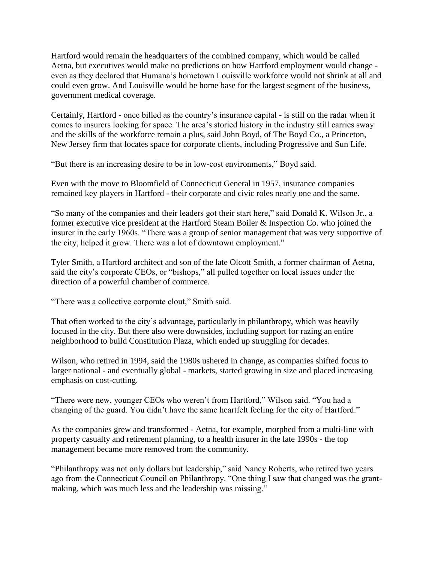Hartford would remain the headquarters of the combined company, which would be called Aetna, but executives would make no predictions on how Hartford employment would change even as they declared that Humana's hometown Louisville workforce would not shrink at all and could even grow. And Louisville would be home base for the largest segment of the business, government medical coverage.

Certainly, Hartford - once billed as the country's insurance capital - is still on the radar when it comes to insurers looking for space. The area's storied history in the industry still carries sway and the skills of the workforce remain a plus, said John Boyd, of The Boyd Co., a Princeton, New Jersey firm that locates space for corporate clients, including Progressive and Sun Life.

"But there is an increasing desire to be in low-cost environments," Boyd said.

Even with the move to Bloomfield of Connecticut General in 1957, insurance companies remained key players in Hartford - their corporate and civic roles nearly one and the same.

"So many of the companies and their leaders got their start here," said Donald K. Wilson Jr., a former executive vice president at the Hartford Steam Boiler & Inspection Co. who joined the insurer in the early 1960s. "There was a group of senior management that was very supportive of the city, helped it grow. There was a lot of downtown employment."

Tyler Smith, a Hartford architect and son of the late Olcott Smith, a former chairman of Aetna, said the city's corporate CEOs, or "bishops," all pulled together on local issues under the direction of a powerful chamber of commerce.

"There was a collective corporate clout," Smith said.

That often worked to the city's advantage, particularly in philanthropy, which was heavily focused in the city. But there also were downsides, including support for razing an entire neighborhood to build Constitution Plaza, which ended up struggling for decades.

Wilson, who retired in 1994, said the 1980s ushered in change, as companies shifted focus to larger national - and eventually global - markets, started growing in size and placed increasing emphasis on cost-cutting.

"There were new, younger CEOs who weren't from Hartford," Wilson said. "You had a changing of the guard. You didn't have the same heartfelt feeling for the city of Hartford."

As the companies grew and transformed - Aetna, for example, morphed from a multi-line with property casualty and retirement planning, to a health insurer in the late 1990s - the top management became more removed from the community.

"Philanthropy was not only dollars but leadership," said Nancy Roberts, who retired two years ago from the Connecticut Council on Philanthropy. "One thing I saw that changed was the grantmaking, which was much less and the leadership was missing."